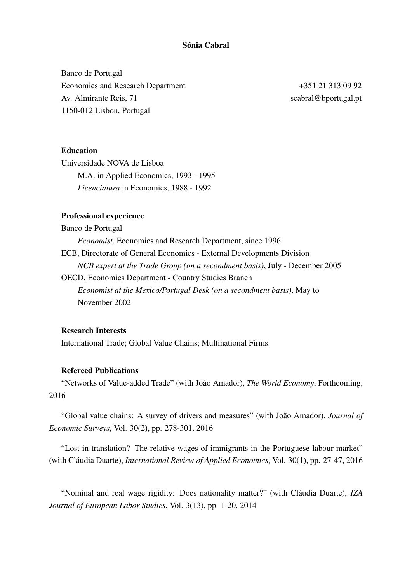# Sónia Cabral

Banco de Portugal Economics and Research Department  $+351\ 21\ 313\ 09\ 92$ Av. Almirante Reis, 71 scabral@bportugal.pt 1150-012 Lisbon, Portugal

## **Education**

Universidade NOVA de Lisboa M.A. in Applied Economics, 1993 - 1995 *Licenciatura* in Economics, 1988 - 1992

## Professional experience

Banco de Portugal *Economist*, Economics and Research Department, since 1996 ECB, Directorate of General Economics - External Developments Division *NCB expert at the Trade Group (on a secondment basis)*, July - December 2005 OECD, Economics Department - Country Studies Branch *Economist at the Mexico/Portugal Desk (on a secondment basis)*, May to November 2002

## Research Interests

International Trade; Global Value Chains; Multinational Firms.

# Refereed Publications

"Networks of Value-added Trade" (with João Amador), The World Economy, Forthcoming, 2016

"Global value chains: A survey of drivers and measures" (with João Amador), *Journal of Economic Surveys*, Vol. 30(2), pp. 278-301, 2016

"Lost in translation? The relative wages of immigrants in the Portuguese labour market" (with Cláudia Duarte), *International Review of Applied Economics*, Vol. 30(1), pp. 27-47, 2016

"Nominal and real wage rigidity: Does nationality matter?" (with Cláudia Duarte), *IZA Journal of European Labor Studies*, Vol. 3(13), pp. 1-20, 2014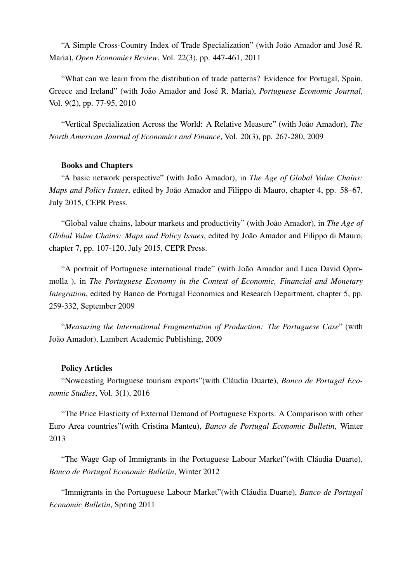"A Simple Cross-Country Index of Trade Specialization" (with João Amador and José R. Maria), *Open Economies Review*, Vol. 22(3), pp. 447-461, 2011

"What can we learn from the distribution of trade patterns? Evidence for Portugal, Spain, Greece and Ireland" (with João Amador and José R. Maria), *Portuguese Economic Journal*, Vol. 9(2), pp. 77-95, 2010

"Vertical Specialization Across the World: A Relative Measure" (with João Amador), The *North American Journal of Economics and Finance*, Vol. 20(3), pp. 267-280, 2009

#### Books and Chapters

"A basic network perspective" (with Joao Amador), in ˜ *The Age of Global Value Chains: Maps and Policy Issues, edited by João Amador and Filippo di Mauro, chapter 4, pp. 58–67,* July 2015, CEPR Press.

"Global value chains, labour markets and productivity" (with Joao Amador), in ˜ *The Age of Global Value Chains: Maps and Policy Issues*, edited by João Amador and Filippo di Mauro, chapter 7, pp. 107-120, July 2015, CEPR Press.

"A portrait of Portuguese international trade" (with João Amador and Luca David Opromolla ), in *The Portuguese Economy in the Context of Economic, Financial and Monetary Integration*, edited by Banco de Portugal Economics and Research Department, chapter 5, pp. 259-332, September 2009

"*Measuring the International Fragmentation of Production: The Portuguese Case*" (with João Amador), Lambert Academic Publishing, 2009

#### Policy Articles

"Nowcasting Portuguese tourism exports" (with Cláudia Duarte), *Banco de Portugal Economic Studies*, Vol. 3(1), 2016

"The Price Elasticity of External Demand of Portuguese Exports: A Comparison with other Euro Area countries"(with Cristina Manteu), *Banco de Portugal Economic Bulletin*, Winter 2013

"The Wage Gap of Immigrants in the Portuguese Labour Market" (with Cláudia Duarte), *Banco de Portugal Economic Bulletin*, Winter 2012

"Immigrants in the Portuguese Labour Market"(with Cláudia Duarte), *Banco de Portugal Economic Bulletin*, Spring 2011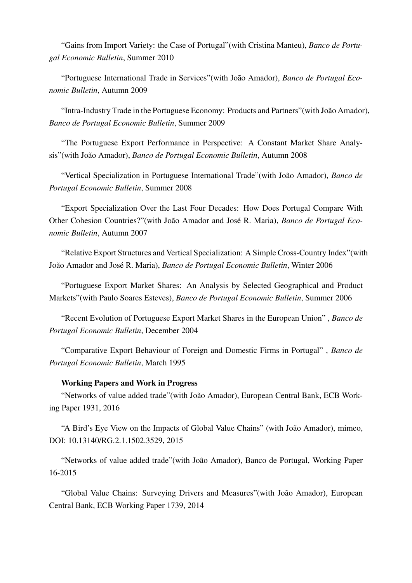"Gains from Import Variety: the Case of Portugal"(with Cristina Manteu), *Banco de Portugal Economic Bulletin*, Summer 2010

"Portuguese International Trade in Services" (with João Amador), *Banco de Portugal Economic Bulletin*, Autumn 2009

"Intra-Industry Trade in the Portuguese Economy: Products and Partners" (with João Amador), *Banco de Portugal Economic Bulletin*, Summer 2009

"The Portuguese Export Performance in Perspective: A Constant Market Share Analysis"(with João Amador), *Banco de Portugal Economic Bulletin*, Autumn 2008

"Vertical Specialization in Portuguese International Trade"(with João Amador), *Banco de Portugal Economic Bulletin*, Summer 2008

"Export Specialization Over the Last Four Decades: How Does Portugal Compare With Other Cohesion Countries?"(with João Amador and José R. Maria), *Banco de Portugal Economic Bulletin*, Autumn 2007

"Relative Export Structures and Vertical Specialization: A Simple Cross-Country Index"(with João Amador and José R. Maria), *Banco de Portugal Economic Bulletin*, Winter 2006

"Portuguese Export Market Shares: An Analysis by Selected Geographical and Product Markets"(with Paulo Soares Esteves), *Banco de Portugal Economic Bulletin*, Summer 2006

"Recent Evolution of Portuguese Export Market Shares in the European Union" , *Banco de Portugal Economic Bulletin*, December 2004

"Comparative Export Behaviour of Foreign and Domestic Firms in Portugal" , *Banco de Portugal Economic Bulletin*, March 1995

### Working Papers and Work in Progress

"Networks of value added trade" (with João Amador), European Central Bank, ECB Working Paper 1931, 2016

"A Bird's Eye View on the Impacts of Global Value Chains" (with João Amador), mimeo, DOI: 10.13140/RG.2.1.1502.3529, 2015

"Networks of value added trade"(with Joao Amador), Banco de Portugal, Working Paper ˜ 16-2015

"Global Value Chains: Surveying Drivers and Measures" (with João Amador), European Central Bank, ECB Working Paper 1739, 2014